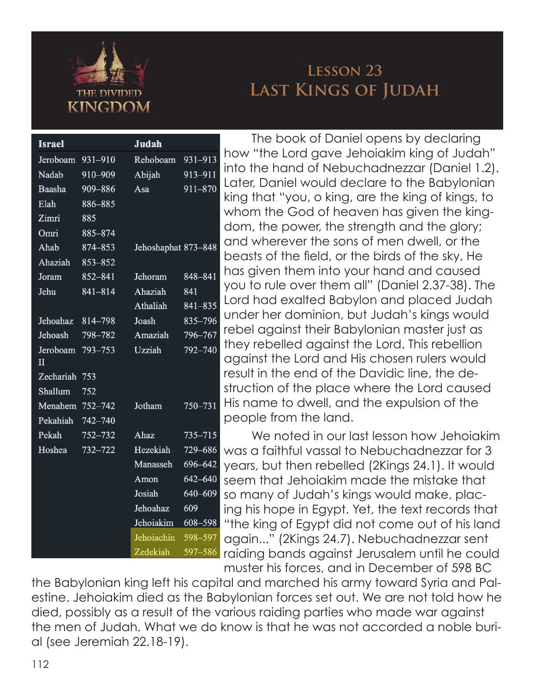

## **Lesson 23 Last Kings of Judah**

| <b>Israel</b>            |             | <b>Judah</b>        |             |                              |
|--------------------------|-------------|---------------------|-------------|------------------------------|
| Jeroboam                 | $931 - 910$ | Rehoboam            | 931-913     | ŀ                            |
| Nadab                    | 910-909     | Abijah              | 913-911     | iı                           |
| Baasha                   | 909-886     | Asa                 | 911-870     | L                            |
| Elah                     | 886-885     |                     |             | k                            |
| Zimri                    | 885         |                     |             | ↘                            |
| Omri                     | 885-874     |                     |             | $\overline{\mathsf{C}}$      |
| Ahab                     | 874-853     | Jehoshaphat 873-848 |             | $\overline{\mathsf{C}}$      |
| Ahaziah                  | $853 - 852$ |                     |             | k                            |
| Joram                    | 852-841     | Jehoram             | 848-841     | ł                            |
| Jehu                     | 841-814     | Ahaziah             | 841         | ∖                            |
|                          |             | Athaliah            | 841-835     | L                            |
| Jehoahaz                 | 814-798     | Joash               | $835 - 796$ | ι                            |
| Jehoash                  | 798-782     | Amaziah             | 796-767     | r                            |
| Jeroboam<br>$\mathbf{I}$ | $793 - 753$ | Uzziah              | 792-740     | t<br>$\overline{\mathsf{C}}$ |
| Zechariah                | 753         |                     |             | r                            |
| Shallum                  | 752         |                     |             | S                            |
| Menahem                  | $752 - 742$ | Jotham              | 750-731     | ŀ                            |
| Pekahiah                 | 742-740     |                     |             | K                            |
| Pekah                    | 752-732     | Ahaz                | $735 - 715$ |                              |
| Hoshea                   | 732-722     | Hezekiah            | 729-686     | ٧                            |
|                          |             | Manasseh            | 696-642     | ∖                            |
|                          |             | Amon                | 642-640     | S                            |
|                          |             | Josiah              | 640-609     | S                            |
|                          |             | Jehoahaz            | 609         | iı                           |
|                          |             | Jehoiakim           | 608-598     | Ĺ                            |
|                          |             | Jehoiachin          | 598-597     | $\overline{C}$               |
|                          |             | Zedekiah            | 597-586     | r                            |

The book of Daniel opens by declaring how "the Lord gave Jehoiakim king of Judah" into the hand of Nebuchadnezzar (Daniel 1.2). Later, Daniel would declare to the Babylonian king that "you, o king, are the king of kings, to whom the God of heaven has given the kingdom, the power, the strength and the glory; and wherever the sons of men dwell, or the beasts of the field, or the birds of the sky, He has given them into your hand and caused you to rule over them all" (Daniel 2.37-38). The Lord had exalted Babylon and placed Judah under her dominion, but Judah's kings would rebel against their Babylonian master just as they rebelled against the Lord. This rebellion against the Lord and His chosen rulers would result in the end of the Davidic line, the destruction of the place where the Lord caused His name to dwell, and the expulsion of the people from the land.

We noted in our last lesson how Jehoiakim was a faithful vassal to Nebuchadnezzar for 3 years, but then rebelled (2Kings 24.1). It would seem that Jehoiakim made the mistake that so many of Judah's kings would make, placng his hope in Egypt. Yet, the text records that "the king of Egypt did not come out of his land again..." (2Kings 24.7). Nebuchadnezzar sent raiding bands against Jerusalem until he could muster his forces, and in December of 598 BC

the Babylonian king left his capital and marched his army toward Syria and Palestine. Jehoiakim died as the Babylonian forces set out. We are not told how he died, possibly as a result of the various raiding parties who made war against the men of Judah. What we do know is that he was not accorded a noble burial (see Jeremiah 22.18-19).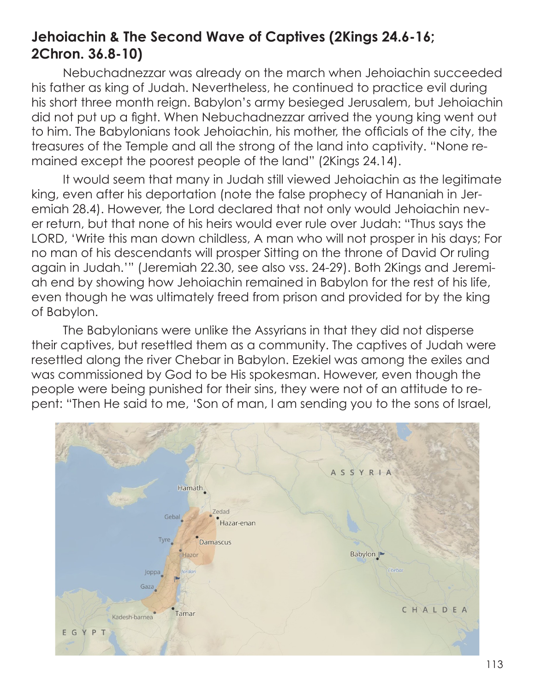## **Jehoiachin & The Second Wave of Captives (2Kings 24.6-16; 2Chron. 36.8-10)**

Nebuchadnezzar was already on the march when Jehoiachin succeeded his father as king of Judah. Nevertheless, he continued to practice evil during his short three month reign. Babylon's army besieged Jerusalem, but Jehoiachin did not put up a fight. When Nebuchadnezzar arrived the young king went out to him. The Babylonians took Jehoiachin, his mother, the officials of the city, the treasures of the Temple and all the strong of the land into captivity. "None remained except the poorest people of the land" (2Kings 24.14).

It would seem that many in Judah still viewed Jehoiachin as the legitimate king, even after his deportation (note the false prophecy of Hananiah in Jeremiah 28.4). However, the Lord declared that not only would Jehoiachin never return, but that none of his heirs would ever rule over Judah: "Thus says the LORD, 'Write this man down childless, A man who will not prosper in his days; For no man of his descendants will prosper Sitting on the throne of David Or ruling again in Judah.'" (Jeremiah 22.30, see also vss. 24-29). Both 2Kings and Jeremiah end by showing how Jehoiachin remained in Babylon for the rest of his life, even though he was ultimately freed from prison and provided for by the king of Babylon.

The Babylonians were unlike the Assyrians in that they did not disperse their captives, but resettled them as a community. The captives of Judah were resettled along the river Chebar in Babylon. Ezekiel was among the exiles and was commissioned by God to be His spokesman. However, even though the people were being punished for their sins, they were not of an attitude to repent: "Then He said to me, 'Son of man, I am sending you to the sons of Israel,

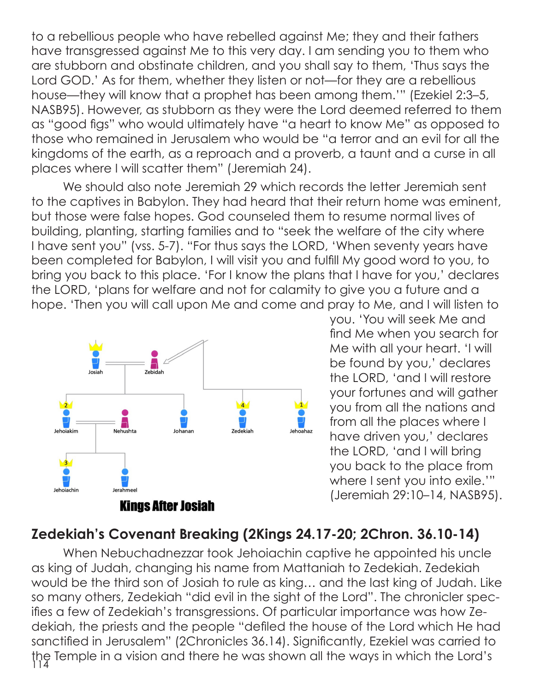to a rebellious people who have rebelled against Me; they and their fathers have transgressed against Me to this very day. I am sending you to them who are stubborn and obstinate children, and you shall say to them, 'Thus says the Lord GOD.' As for them, whether they listen or not—for they are a rebellious house—they will know that a prophet has been among them.'" (Ezekiel 2:3–5, NASB95). However, as stubborn as they were the Lord deemed referred to them as "good figs" who would ultimately have "a heart to know Me" as opposed to those who remained in Jerusalem who would be "a terror and an evil for all the kingdoms of the earth, as a reproach and a proverb, a taunt and a curse in all places where I will scatter them" (Jeremiah 24).

We should also note Jeremiah 29 which records the letter Jeremiah sent to the captives in Babylon. They had heard that their return home was eminent, but those were false hopes. God counseled them to resume normal lives of building, planting, starting families and to "seek the welfare of the city where I have sent you" (vss. 5-7). "For thus says the LORD, 'When seventy years have been completed for Babylon, I will visit you and fulfill My good word to you, to bring you back to this place. 'For I know the plans that I have for you,' declares the LORD, 'plans for welfare and not for calamity to give you a future and a hope. 'Then you will call upon Me and come and pray to Me, and I will listen to



you. 'You will seek Me and find Me when you search for Me with all your heart. 'I will be found by you,' declares the LORD, 'and I will restore your fortunes and will gather you from all the nations and from all the places where I have driven you,' declares the LORD, 'and I will bring you back to the place from where I sent you into exile.'" (Jeremiah 29:10–14, NASB95).

## **Zedekiah's Covenant Breaking (2Kings 24.17-20; 2Chron. 36.10-14)**

114 When Nebuchadnezzar took Jehoiachin captive he appointed his uncle as king of Judah, changing his name from Mattaniah to Zedekiah. Zedekiah would be the third son of Josiah to rule as king… and the last king of Judah. Like so many others, Zedekiah "did evil in the sight of the Lord". The chronicler specifies a few of Zedekiah's transgressions. Of particular importance was how Zedekiah, the priests and the people "defiled the house of the Lord which He had sanctified in Jerusalem" (2Chronicles 36.14). Significantly, Ezekiel was carried to the Temple in a vision and there he was shown all the ways in which the Lord's